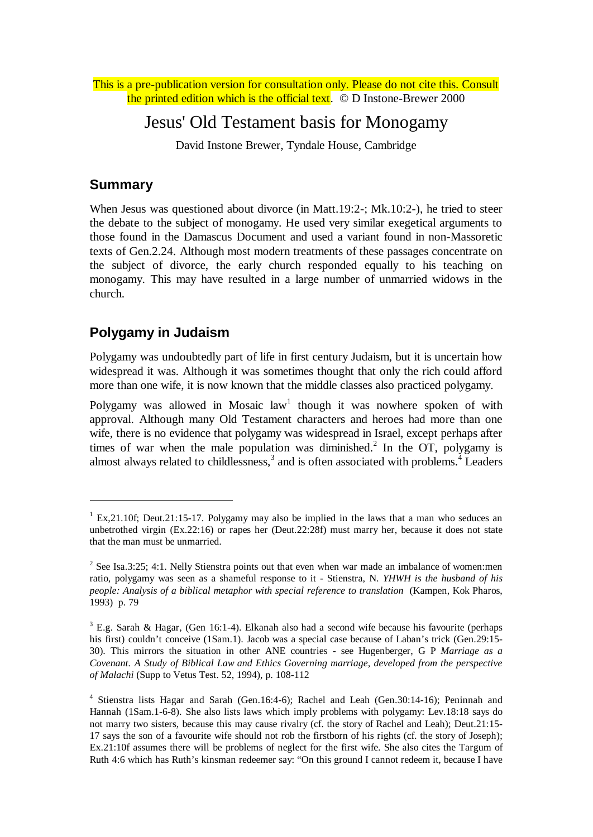This is a pre-publication version for consultation only. Please do not cite this. Consult the printed edition which is the official text. © D Instone-Brewer 2000

# Jesus' Old Testament basis for Monogamy

David Instone Brewer, Tyndale House, Cambridge

### **Summary**

 $\overline{a}$ 

When Jesus was questioned about divorce (in Matt.19:2-; Mk.10:2-), he tried to steer the debate to the subject of monogamy. He used very similar exegetical arguments to those found in the Damascus Document and used a variant found in non-Massoretic texts of Gen.2.24. Although most modern treatments of these passages concentrate on the subject of divorce, the early church responded equally to his teaching on monogamy. This may have resulted in a large number of unmarried widows in the church.

# **Polygamy in Judaism**

Polygamy was undoubtedly part of life in first century Judaism, but it is uncertain how widespread it was. Although it was sometimes thought that only the rich could afford more than one wife, it is now known that the middle classes also practiced polygamy.

Polygamy was allowed in Mosaic law<sup>1</sup> though it was nowhere spoken of with approval. Although many Old Testament characters and heroes had more than one wife, there is no evidence that polygamy was widespread in Israel, except perhaps after times of war when the male population was diminished.<sup>2</sup> In the OT, polygamy is almost always related to childlessness, $3$  and is often associated with problems. $4$  Leaders

 $1$  Ex,21.10f; Deut.21:15-17. Polygamy may also be implied in the laws that a man who seduces an unbetrothed virgin (Ex.22:16) or rapes her (Deut.22:28f) must marry her, because it does not state that the man must be unmarried.

<sup>&</sup>lt;sup>2</sup> See Isa.3:25; 4:1. Nelly Stienstra points out that even when war made an imbalance of women:men ratio, polygamy was seen as a shameful response to it - Stienstra, N. *YHWH is the husband of his people: Analysis of a biblical metaphor with special reference to translation* (Kampen, Kok Pharos, 1993)p. 79

 $3$  E.g. Sarah & Hagar, (Gen 16:1-4). Elkanah also had a second wife because his favourite (perhaps his first) couldn't conceive (1Sam.1). Jacob was a special case because of Laban's trick (Gen.29:15-30). This mirrors the situation in other ANE countries - see Hugenberger, G P *Marriage as a Covenant. A Study of Biblical Law and Ethics Governing marriage, developed from the perspective of Malachi* (Supp to Vetus Test. 52, 1994), p. 108-112

<sup>&</sup>lt;sup>4</sup> Stienstra lists Hagar and Sarah (Gen.16:4-6); Rachel and Leah (Gen.30:14-16); Peninnah and Hannah (1Sam.1-6-8). She also lists laws which imply problems with polygamy: Lev.18:18 says do not marry two sisters, because this may cause rivalry (cf. the story of Rachel and Leah); Deut.21:15- 17 says the son of a favourite wife should not rob the firstborn of his rights (cf. the story of Joseph); Ex.21:10f assumes there will be problems of neglect for the first wife. She also cites the Targum of Ruth 4:6 which has Ruth's kinsman redeemer say: "On this ground I cannot redeem it, because I have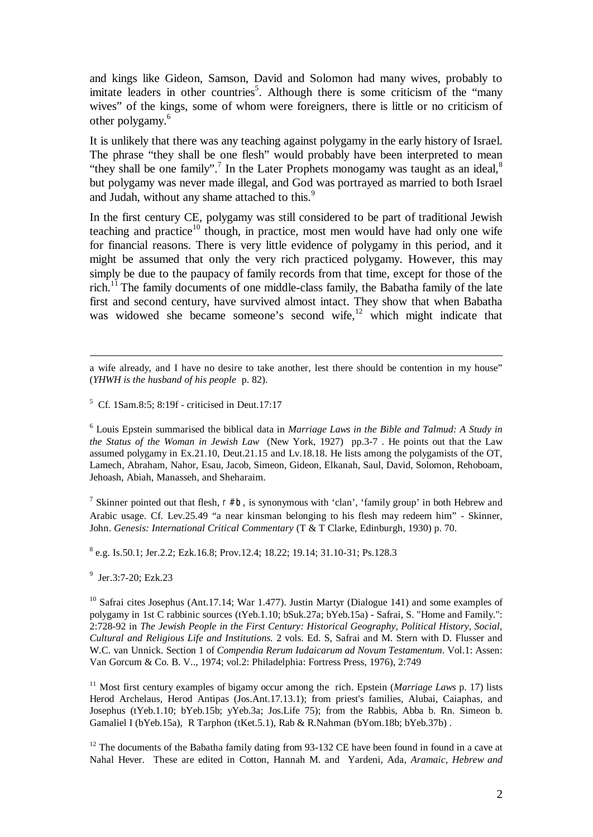and kings like Gideon, Samson, David and Solomon had many wives, probably to imitate leaders in other countries<sup>5</sup>. Although there is some criticism of the "many wives" of the kings, some of whom were foreigners, there is little or no criticism of other polygamy.<sup>6</sup>

It is unlikely that there was any teaching against polygamy in the early history of Israel. The phrase "they shall be one flesh" would probably have been interpreted to mean "they shall be one family".<sup>7</sup> In the Later Prophets monogamy was taught as an ideal, ${}^{8}$ but polygamy was never made illegal, and God was portrayed as married to both Israel and Judah, without any shame attached to this.<sup>9</sup>

In the first century CE, polygamy was still considered to be part of traditional Jewish teaching and practice<sup>10</sup> though, in practice, most men would have had only one wife for financial reasons. There is very little evidence of polygamy in this period, and it might be assumed that only the very rich practiced polygamy. However, this may simply be due to the paupacy of family records from that time, except for those of the rich.<sup>11</sup> The family documents of one middle-class family, the Babatha family of the late first and second century, have survived almost intact. They show that when Babatha was widowed she became someone's second wife,<sup>12</sup> which might indicate that

a wife already, and I have no desire to take another, lest there should be contention in my house" (*YHWH is the husband of his people* p. 82).

5 Cf. 1Sam.8:5; 8:19f - criticised in Deut.17:17

6 Louis Epstein summarised the biblical data in *Marriage Laws in the Bible and Talmud: A Study in the Status of the Woman in Jewish Law* (New York, 1927) pp.3-7 . He points out that the Law assumed polygamy in Ex.21.10, Deut.21.15 and Lv.18.18. He lists among the polygamists of the OT, Lamech, Abraham, Nahor, Esau, Jacob, Simeon, Gideon, Elkanah, Saul, David, Solomon, Rehoboam, Jehoash, Abiah, Manasseh, and Sheharaim.

<sup>7</sup> Skinner pointed out that flesh,  $\mathsf{r#b}$ , is synonymous with 'clan', 'family group' in both Hebrew and Arabic usage. Cf. Lev.25.49 "a near kinsman belonging to his flesh may redeem him" - Skinner, John. *Genesis: International Critical Commentary* (T & T Clarke, Edinburgh, 1930) p. 70.

8 e.g. Is.50.1; Jer.2.2; Ezk.16.8; Prov.12.4; 18.22; 19.14; 31.10-31; Ps.128.3

9 Jer.3:7-20; Ezk.23

 $\overline{a}$ 

 $10$  Safrai cites Josephus (Ant.17.14; War 1.477). Justin Martyr (Dialogue 141) and some examples of polygamy in 1st C rabbinic sources (tYeb.1.10; bSuk.27a; bYeb.15a) - Safrai, S. "Home and Family.": 2:728-92 in *The Jewish People in the First Century: Historical Geography, Political History, Social, Cultural and Religious Life and Institutions.* 2 vols. Ed. S, Safrai and M. Stern with D. Flusser and W.C. van Unnick. Section 1 of *Compendia Rerum Iudaicarum ad Novum Testamentum*. Vol.1: Assen: Van Gorcum & Co. B. V.., 1974; vol.2: Philadelphia: Fortress Press, 1976), 2:749

<sup>11</sup> Most first century examples of bigamy occur among the rich. Epstein (*Marriage Laws* p. 17) lists Herod Archelaus, Herod Antipas (Jos.Ant.17.13.1); from priest's families, Alubai, Caiaphas, and Josephus (tYeb.1.10; bYeb.15b; yYeb.3a; Jos.Life 75); from the Rabbis, Abba b. Rn. Simeon b. Gamaliel I (bYeb.15a), R Tarphon (tKet.5.1), Rab & R.Nahman (bYom.18b; bYeb.37b).

 $12$  The documents of the Babatha family dating from 93-132 CE have been found in found in a cave at Nahal Hever. These are edited in Cotton, Hannah M. and Yardeni, Ada, *Aramaic, Hebrew and*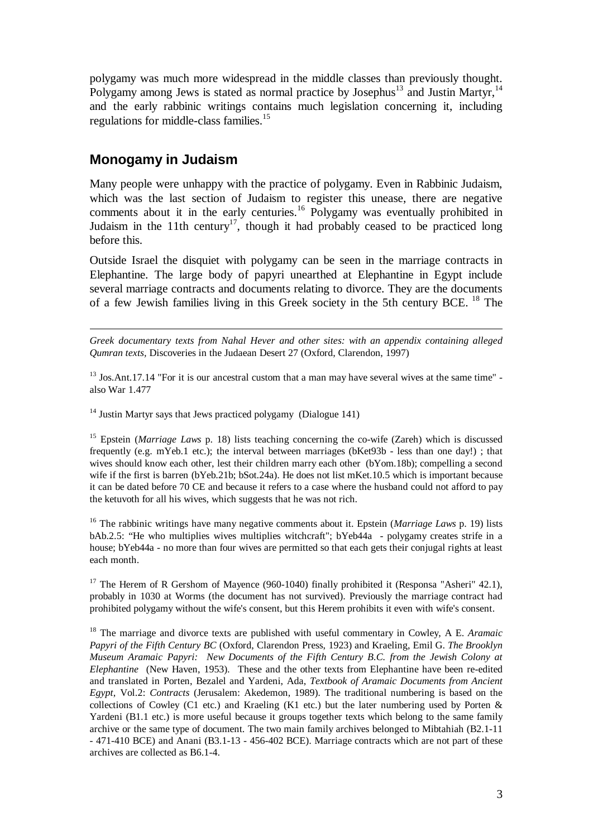polygamy was much more widespread in the middle classes than previously thought. Polygamy among Jews is stated as normal practice by Josephus<sup>13</sup> and Justin Martyr.<sup>14</sup> and the early rabbinic writings contains much legislation concerning it, including regulations for middle-class families.<sup>15</sup>

# **Monogamy in Judaism**

 $\overline{a}$ 

Many people were unhappy with the practice of polygamy. Even in Rabbinic Judaism, which was the last section of Judaism to register this unease, there are negative comments about it in the early centuries.<sup>16</sup> Polygamy was eventually prohibited in Judaism in the 11th century<sup>17</sup>, though it had probably ceased to be practiced long before this.

Outside Israel the disquiet with polygamy can be seen in the marriage contracts in Elephantine. The large body of papyri unearthed at Elephantine in Egypt include several marriage contracts and documents relating to divorce. They are the documents of a few Jewish families living in this Greek society in the 5th century BCE. <sup>18</sup> The

*Greek documentary texts from Nahal Hever and other sites: with an appendix containing alleged Qumran texts,* Discoveries in the Judaean Desert 27 (Oxford, Clarendon, 1997)

 $13$  Jos.Ant.17.14 "For it is our ancestral custom that a man may have several wives at the same time" also War 1.477

 $14$  Justin Martyr says that Jews practiced polygamy (Dialogue 141)

<sup>15</sup> Epstein (*Marriage Laws* p. 18) lists teaching concerning the co-wife (Zareh) which is discussed frequently (e.g. mYeb.1 etc.); the interval between marriages ( $b$ Ket $93b$  - less than one day!); that wives should know each other, lest their children marry each other (bYom.18b); compelling a second wife if the first is barren (bYeb.21b; bSot.24a). He does not list mKet.10.5 which is important because it can be dated before 70 CE and because it refers to a case where the husband could not afford to pay the ketuvoth for all his wives, which suggests that he was not rich.

<sup>16</sup> The rabbinic writings have many negative comments about it. Epstein (*Marriage Laws* p. 19) lists bAb.2.5: "He who multiplies wives multiplies witchcraft"; bYeb44a - polygamy creates strife in a house; bYeb44a - no more than four wives are permitted so that each gets their conjugal rights at least each month.

<sup>17</sup> The Herem of R Gershom of Mayence (960-1040) finally prohibited it (Responsa "Asheri" 42.1), probably in 1030 at Worms (the document has not survived). Previously the marriage contract had prohibited polygamy without the wife's consent, but this Herem prohibits it even with wife's consent.

<sup>18</sup> The marriage and divorce texts are published with useful commentary in Cowley, A E. *Aramaic Papyri of the Fifth Century BC* (Oxford, Clarendon Press, 1923) and Kraeling, Emil G. *The Brooklyn Museum Aramaic Papyri: New Documents of the Fifth Century B.C. from the Jewish Colony at Elephantine* (New Haven, 1953)*.* These and the other texts from Elephantine have been re-edited and translated in Porten, Bezalel and Yardeni, Ada, *Textbook of Aramaic Documents from Ancient Egypt*, Vol.2: *Contracts* (Jerusalem: Akedemon, 1989)*.* The traditional numbering is based on the collections of Cowley (C1 etc.) and Kraeling (K1 etc.) but the later numbering used by Porten & Yardeni (B1.1 etc.) is more useful because it groups together texts which belong to the same family archive or the same type of document. The two main family archives belonged to Mibtahiah (B2.1-11 - 471-410 BCE) and Anani (B3.1-13 - 456-402 BCE). Marriage contracts which are not part of these archives are collected as B6.1-4.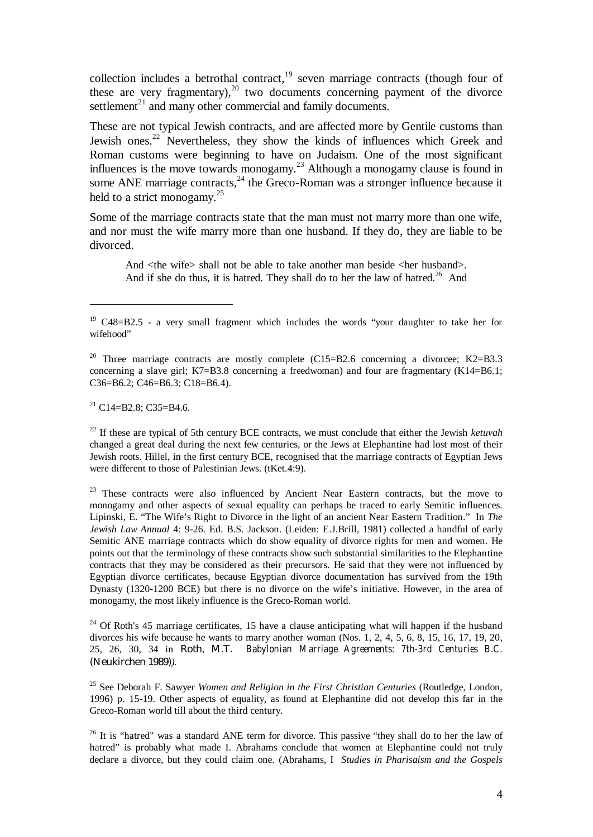collection includes a betrothal contract,<sup>19</sup> seven marriage contracts (though four of these are very fragmentary), $^{20}$  two documents concerning payment of the divorce settlement $^{21}$  and many other commercial and family documents.

These are not typical Jewish contracts, and are affected more by Gentile customs than Jewish ones.<sup>22</sup> Nevertheless, they show the kinds of influences which Greek and Roman customs were beginning to have on Judaism. One of the most significant influences is the move towards monogamy.<sup>23</sup> Although a monogamy clause is found in some ANE marriage contracts, $^{24}$  the Greco-Roman was a stronger influence because it held to a strict monogamy.<sup>25</sup>

Some of the marriage contracts state that the man must not marry more than one wife, and nor must the wife marry more than one husband. If they do, they are liable to be divorced.

And <the wife> shall not be able to take another man beside <her husband>. And if she do thus, it is hatred. They shall do to her the law of hatred.<sup>26</sup> And

<sup>21</sup> C<sub>14</sub>=B<sub>2.8</sub>; C<sub>35</sub>=B<sub>4.6</sub>.

 $\overline{a}$ 

<sup>22</sup> If these are typical of 5th century BCE contracts, we must conclude that either the Jewish *ketuvah* changed a great deal during the next few centuries, or the Jews at Elephantine had lost most of their Jewish roots. Hillel, in the first century BCE, recognised that the marriage contracts of Egyptian Jews were different to those of Palestinian Jews. (tKet.4:9).

<sup>23</sup> These contracts were also influenced by Ancient Near Eastern contracts, but the move to monogamy and other aspects of sexual equality can perhaps be traced to early Semitic influences. Lipinski, E. "The Wife's Right to Divorce in the light of an ancient Near Eastern Tradition." In *The Jewish Law Annual* 4: 9-26. Ed. B.S. Jackson. (Leiden: E.J.Brill, 1981) collected a handful of early Semitic ANE marriage contracts which do show equality of divorce rights for men and women. He points out that the terminology of these contracts show such substantial similarities to the Elephantine contracts that they may be considered as their precursors. He said that they were not influenced by Egyptian divorce certificates, because Egyptian divorce documentation has survived from the 19th Dynasty (1320-1200 BCE) but there is no divorce on the wife's initiative. However, in the area of monogamy, the most likely influence is the Greco-Roman world.

<sup>24</sup> Of Roth's 45 marriage certificates, 15 have a clause anticipating what will happen if the husband divorces his wife because he wants to marry another woman (Nos. 1, 2, 4, 5, 6, 8, 15, 16, 17, 19, 20, 25, 26, 30, 34 in Roth, M.T. *Babylonian Marriage Agreements: 7th-3rd Centuries B.C.*  (Neukirchen 1989)*).*

<sup>25</sup> See Deborah F. Sawyer *Women and Religion in the First Christian Centuries* (Routledge, London, 1996) p. 15-19. Other aspects of equality, as found at Elephantine did not develop this far in the Greco-Roman world till about the third century.

<sup>26</sup> It is "hatred" was a standard ANE term for divorce. This passive "they shall do to her the law of hatred" is probably what made I. Abrahams conclude that women at Elephantine could not truly declare a divorce, but they could claim one. (Abrahams, I *Studies in Pharisaism and the Gospels*

<sup>&</sup>lt;sup>19</sup> C48=B2.5 - a very small fragment which includes the words "your daughter to take her for wifehood"

<sup>&</sup>lt;sup>20</sup> Three marriage contracts are mostly complete  $(C15=B2.6$  concerning a divorcee; K2=B3.3 concerning a slave girl; K7=B3.8 concerning a freedwoman) and four are fragmentary (K14=B6.1; C36=B6.2; C46=B6.3; C18=B6.4).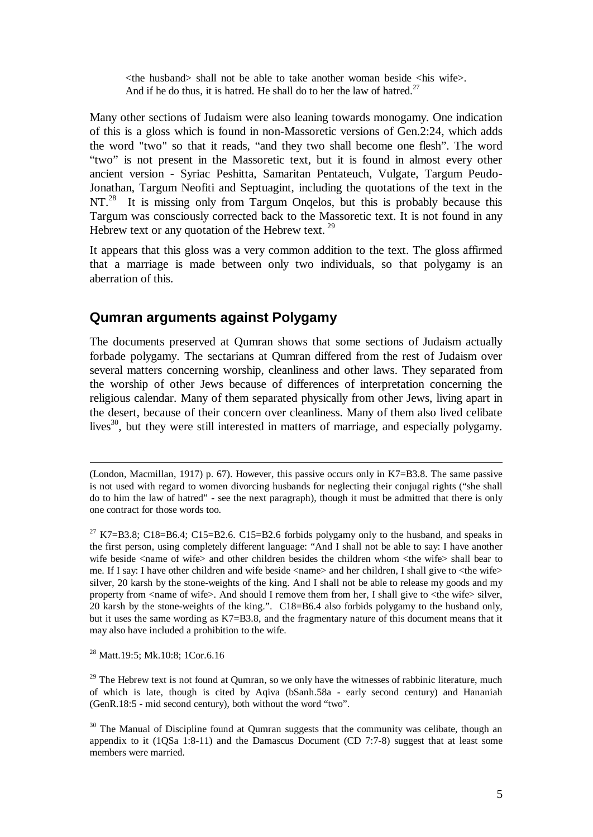$\lt$ the husband  $\gt$  shall not be able to take another woman beside  $\lt$ his wife $\gt$ . And if he do thus, it is hatred. He shall do to her the law of hatred.<sup>27</sup>

Many other sections of Judaism were also leaning towards monogamy. One indication of this is a gloss which is found in non-Massoretic versions of Gen.2:24, which adds the word "two" so that it reads, "and they two shall become one flesh". The word "two" is not present in the Massoretic text, but it is found in almost every other ancient version - Syriac Peshitta, Samaritan Pentateuch, Vulgate, Targum Peudo-Jonathan, Targum Neofiti and Septuagint, including the quotations of the text in the  $NT<sup>28</sup>$  It is missing only from Targum Ongelos, but this is probably because this Targum was consciously corrected back to the Massoretic text. It is not found in any Hebrew text or any quotation of the Hebrew text.  $29$ 

It appears that this gloss was a very common addition to the text. The gloss affirmed that a marriage is made between only two individuals, so that polygamy is an aberration of this.

## **Qumran arguments against Polygamy**

The documents preserved at Qumran shows that some sections of Judaism actually forbade polygamy. The sectarians at Qumran differed from the rest of Judaism over several matters concerning worship, cleanliness and other laws. They separated from the worship of other Jews because of differences of interpretation concerning the religious calendar. Many of them separated physically from other Jews, living apart in the desert, because of their concern over cleanliness. Many of them also lived celibate lives<sup>30</sup>, but they were still interested in matters of marriage, and especially polygamy.

<sup>28</sup> Matt.19:5; Mk.10:8; 1Cor.6.16

 $\overline{a}$ 

 $29$  The Hebrew text is not found at Qumran, so we only have the witnesses of rabbinic literature, much of which is late, though is cited by Aqiva (bSanh.58a - early second century) and Hananiah (GenR.18:5 - mid second century), both without the word "two".

 $30$  The Manual of Discipline found at Qumran suggests that the community was celibate, though an appendix to it  $(1OSa 1:8-11)$  and the Damascus Document  $(CD 7:7-8)$  suggest that at least some members were married.

<sup>(</sup>London, Macmillan, 1917) p. 67). However, this passive occurs only in K7=B3.8. The same passive is not used with regard to women divorcing husbands for neglecting their conjugal rights ("she shall do to him the law of hatred" - see the next paragraph), though it must be admitted that there is only one contract for those words too.

<sup>&</sup>lt;sup>27</sup> K7=B3.8; C18=B6.4; C15=B2.6. C15=B2.6 forbids polygamy only to the husband, and speaks in the first person, using completely different language: "And I shall not be able to say: I have another wife beside  $\langle$  name of wife $\rangle$  and other children besides the children whom  $\langle$  the wife $\rangle$  shall bear to me. If I say: I have other children and wife beside <name> and her children, I shall give to <the wife> silver, 20 karsh by the stone-weights of the king. And I shall not be able to release my goods and my property from  $\langle$ name of wife $\rangle$ . And should I remove them from her, I shall give to  $\langle$ the wife $\rangle$  silver, 20 karsh by the stone-weights of the king.". C18=B6.4 also forbids polygamy to the husband only, but it uses the same wording as K7=B3.8, and the fragmentary nature of this document means that it may also have included a prohibition to the wife.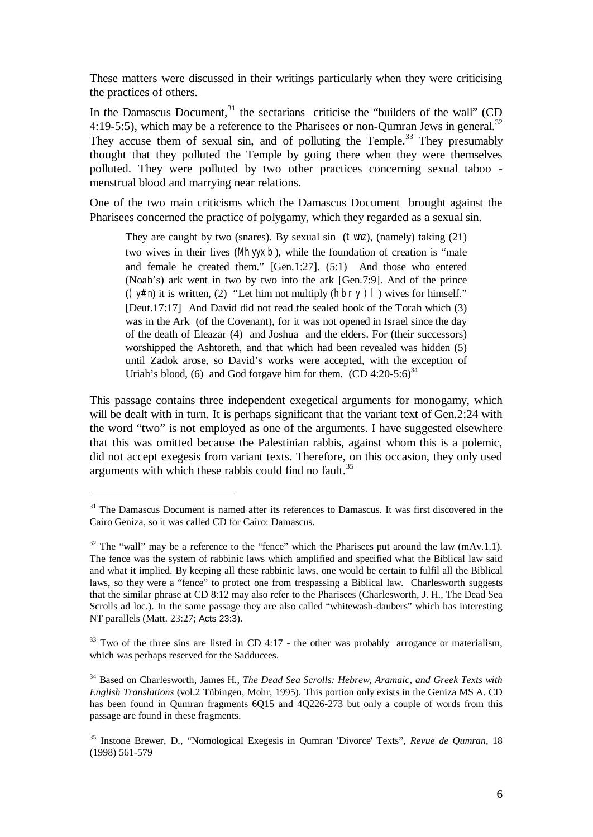These matters were discussed in their writings particularly when they were criticising the practices of others.

In the Damascus Document, $31$  the sectarians criticise the "builders of the wall" (CD 4:19-5:5), which may be a reference to the Pharisees or non-Oumran Jews in general.<sup>32</sup> They accuse them of sexual sin, and of polluting the Temple.<sup>33</sup> They presumably thought that they polluted the Temple by going there when they were themselves polluted. They were polluted by two other practices concerning sexual taboo menstrual blood and marrying near relations.

One of the two main criticisms which the Damascus Document brought against the Pharisees concerned the practice of polygamy, which they regarded as a sexual sin.

They are caught by two (snares). By sexual sin (twnz), (namely) taking (21) two wives in their lives (Mhyyxb), while the foundation of creation is "male and female he created them." [Gen.1:27]. (5:1) And those who entered (Noah's) ark went in two by two into the ark [Gen.7:9]. And of the prince ()  $y\#n$ ) it is written, (2) "Let him not multiply (hbry ) l ) wives for himself." [Deut.17:17] And David did not read the sealed book of the Torah which (3) was in the Ark (of the Covenant), for it was not opened in Israel since the day of the death of Eleazar (4) and Joshua and the elders. For (their successors) worshipped the Ashtoreth, and that which had been revealed was hidden (5) until Zadok arose, so David's works were accepted, with the exception of Uriah's blood, (6) and God for gave him for them.  $(CD 4:20-5:6)^{34}$ 

This passage contains three independent exegetical arguments for monogamy, which will be dealt with in turn. It is perhaps significant that the variant text of Gen.2:24 with the word "two" is not employed as one of the arguments. I have suggested elsewhere that this was omitted because the Palestinian rabbis, against whom this is a polemic, did not accept exegesis from variant texts. Therefore, on this occasion, they only used arguments with which these rabbis could find no fault.<sup>35</sup>

 $\overline{a}$ 

<sup>33</sup> Two of the three sins are listed in CD 4:17 - the other was probably arrogance or materialism, which was perhaps reserved for the Sadducees.

<sup>&</sup>lt;sup>31</sup> The Damascus Document is named after its references to Damascus. It was first discovered in the Cairo Geniza, so it was called CD for Cairo: Damascus.

 $32$  The "wall" may be a reference to the "fence" which the Pharisees put around the law (mAv.1.1). The fence was the system of rabbinic laws which amplified and specified what the Biblical law said and what it implied. By keeping all these rabbinic laws, one would be certain to fulfil all the Biblical laws, so they were a "fence" to protect one from trespassing a Biblical law. Charlesworth suggests that the similar phrase at CD 8:12 may also refer to the Pharisees (Charlesworth, J. H., The Dead Sea Scrolls ad loc.). In the same passage they are also called "whitewash-daubers" which has interesting NT parallels (Matt. 23:27; Acts 23:3).

<sup>34</sup> Based on Charlesworth, James H., *The Dead Sea Scrolls: Hebrew, Aramaic, and Greek Texts with English Translations* (vol.2 Tübingen, Mohr, 1995). This portion only exists in the Geniza MS A. CD has been found in Qumran fragments 6Q15 and 4Q226-273 but only a couple of words from this passage are found in these fragments.

<sup>35</sup> Instone Brewer, D., "Nomological Exegesis in Qumran 'Divorce' Texts", *Revue de Qumran,* 18 (1998) 561-579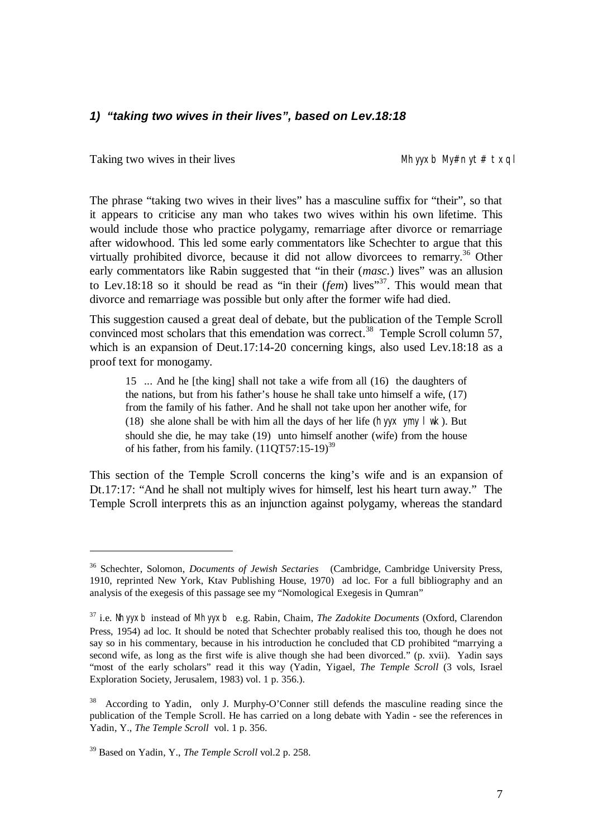### *1) "taking two wives in their lives", based on Lev.18:18*

Taking two wives in their lives  $Mhyxb My#n yt# txql$ 

The phrase "taking two wives in their lives" has a masculine suffix for "their", so that it appears to criticise any man who takes two wives within his own lifetime. This would include those who practice polygamy, remarriage after divorce or remarriage after widowhood. This led some early commentators like Schechter to argue that this virtually prohibited divorce, because it did not allow divorcees to remarry.<sup>36</sup> Other early commentators like Rabin suggested that "in their (*masc.*) lives" was an allusion to Lev.18:18 so it should be read as "in their (*fem*) lives"<sup>37</sup>. This would mean that divorce and remarriage was possible but only after the former wife had died.

This suggestion caused a great deal of debate, but the publication of the Temple Scroll convinced most scholars that this emendation was correct.<sup>38</sup> Temple Scroll column 57, which is an expansion of Deut.17:14-20 concerning kings, also used Lev.18:18 as a proof text for monogamy.

15 ... And he [the king] shall not take a wife from all (16) the daughters of the nations, but from his father's house he shall take unto himself a wife, (17) from the family of his father. And he shall not take upon her another wife, for (18) she alone shall be with him all the days of her life (hyyx ymy  $\vert$  wk). But should she die, he may take (19) unto himself another (wife) from the house of his father, from his family.  $(110T57:15-19)^{39}$ 

This section of the Temple Scroll concerns the king's wife and is an expansion of Dt.17:17: "And he shall not multiply wives for himself, lest his heart turn away." The Temple Scroll interprets this as an injunction against polygamy, whereas the standard

<sup>36</sup> Schechter, Solomon, *Documents of Jewish Sectaries* (Cambridge, Cambridge University Press, 1910, reprinted New York, Ktav Publishing House, 1970) ad loc. For a full bibliography and an analysis of the exegesis of this passage see my "Nomological Exegesis in Qumran"

<sup>37</sup> i.e. Nhyyxb instead of Mhyyxb e.g. Rabin, Chaim, *The Zadokite Documents* (Oxford, Clarendon Press, 1954) ad loc. It should be noted that Schechter probably realised this too, though he does not say so in his commentary, because in his introduction he concluded that CD prohibited "marrying a second wife, as long as the first wife is alive though she had been divorced." (p. xvii). Yadin says "most of the early scholars" read it this way (Yadin, Yigael, *The Temple Scroll* (3 vols, Israel Exploration Society, Jerusalem, 1983) vol. 1 p. 356.).

<sup>38</sup> According to Yadin, only J. Murphy-O'Conner still defends the masculine reading since the publication of the Temple Scroll. He has carried on a long debate with Yadin - see the references in Yadin, Y., *The Temple Scroll* vol. 1 p. 356.

<sup>39</sup> Based on Yadin, Y., *The Temple Scroll* vol.2 p. 258.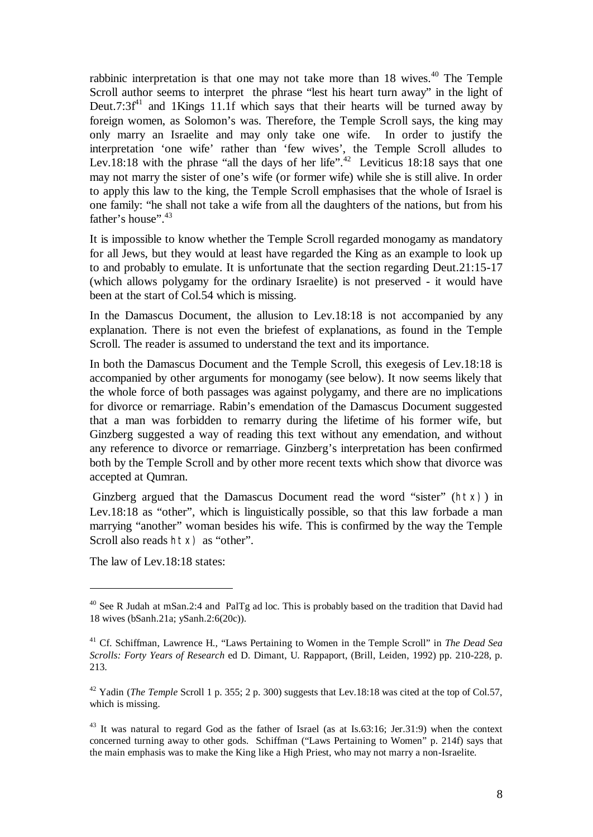rabbinic interpretation is that one may not take more than  $18$  wives.<sup>40</sup> The Temple Scroll author seems to interpret the phrase "lest his heart turn away" in the light of Deut.7:3 $f<sup>41</sup>$  and 1Kings 11.1f which says that their hearts will be turned away by foreign women, as Solomon's was. Therefore, the Temple Scroll says, the king may only marry an Israelite and may only take one wife. In order to justify the interpretation 'one wife' rather than 'few wives', the Temple Scroll alludes to Lev.18:18 with the phrase "all the days of her life".<sup>42</sup> Leviticus 18:18 says that one may not marry the sister of one's wife (or former wife) while she is still alive. In order to apply this law to the king, the Temple Scroll emphasises that the whole of Israel is one family: "he shall not take a wife from all the daughters of the nations, but from his father's house".<sup>43</sup>

It is impossible to know whether the Temple Scroll regarded monogamy as mandatory for all Jews, but they would at least have regarded the King as an example to look up to and probably to emulate. It is unfortunate that the section regarding Deut.21:15-17 (which allows polygamy for the ordinary Israelite) is not preserved - it would have been at the start of Col.54 which is missing.

In the Damascus Document, the allusion to Lev.18:18 is not accompanied by any explanation. There is not even the briefest of explanations, as found in the Temple Scroll. The reader is assumed to understand the text and its importance.

In both the Damascus Document and the Temple Scroll, this exegesis of Lev.18:18 is accompanied by other arguments for monogamy (see below). It now seems likely that the whole force of both passages was against polygamy, and there are no implications for divorce or remarriage. Rabin's emendation of the Damascus Document suggested that a man was forbidden to remarry during the lifetime of his former wife, but Ginzberg suggested a way of reading this text without any emendation, and without any reference to divorce or remarriage. Ginzberg's interpretation has been confirmed both by the Temple Scroll and by other more recent texts which show that divorce was accepted at Qumran.

Ginzberg argued that the Damascus Document read the word "sister" (htx)) in Lev.18:18 as "other", which is linguistically possible, so that this law forbade a man marrying "another" woman besides his wife. This is confirmed by the way the Temple Scroll also reads htx) as "other".

The law of Lev.18:18 states:

 $40$  See R Judah at mSan.2:4 and PalTg ad loc. This is probably based on the tradition that David had 18 wives (bSanh.21a; ySanh.2:6(20c)).

<sup>41</sup> Cf. Schiffman, Lawrence H., "Laws Pertaining to Women in the Temple Scroll" in *The Dead Sea Scrolls: Forty Years of Research* ed D. Dimant, U. Rappaport, (Brill, Leiden, 1992) pp. 210-228, p. 213.

<sup>42</sup> Yadin (*The Temple* Scroll 1 p. 355; 2 p. 300) suggests that Lev.18:18 was cited at the top of Col.57, which is missing.

<sup>&</sup>lt;sup>43</sup> It was natural to regard God as the father of Israel (as at Is.63:16; Jer.31:9) when the context concerned turning away to other gods. Schiffman ("Laws Pertaining to Women" p. 214f) says that the main emphasis was to make the King like a High Priest, who may not marry a non-Israelite.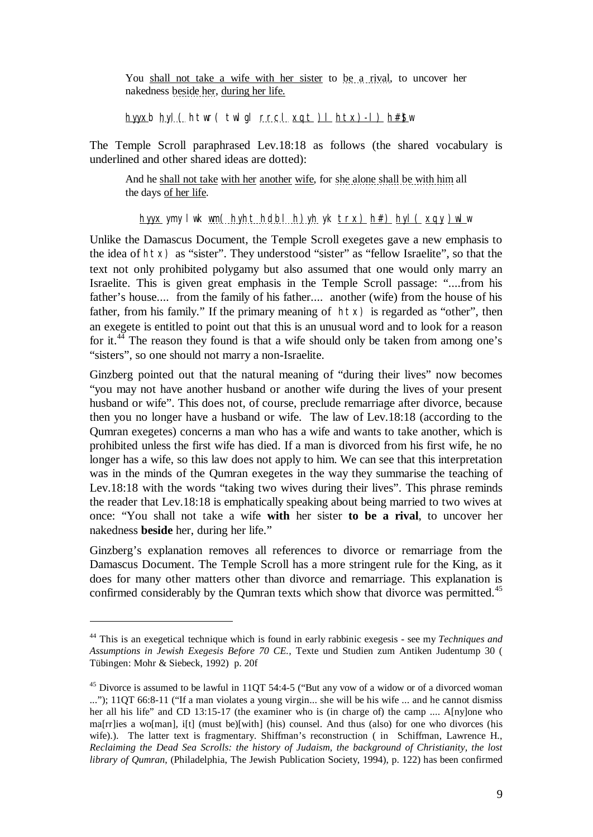You shall not take a wife with her sister to be a rival, to uncover her nakedness beside her, during her life.

hyyxb hyl( htwr( twlgl rrcl xqt )l htx)-l) h#\$)w

The Temple Scroll paraphrased Lev.18:18 as follows (the shared vocabulary is underlined and other shared ideas are dotted):

And he shall not take with her another wife, for she alone shall be with him all the days of her life.

hyyx ymy lwk wm( hyht hdbl h)yh yk trx) h#) hyl ( xqy )wlw

Unlike the Damascus Document, the Temple Scroll exegetes gave a new emphasis to the idea of htx) as "sister". They understood "sister" as "fellow Israelite", so that the text not only prohibited polygamy but also assumed that one would only marry an Israelite. This is given great emphasis in the Temple Scroll passage: "....from his father's house.... from the family of his father.... another (wife) from the house of his father, from his family." If the primary meaning of htx) is regarded as "other", then an exegete is entitled to point out that this is an unusual word and to look for a reason for it.<sup>44</sup> The reason they found is that a wife should only be taken from among one's "sisters", so one should not marry a non-Israelite.

Ginzberg pointed out that the natural meaning of "during their lives" now becomes "you may not have another husband or another wife during the lives of your present husband or wife". This does not, of course, preclude remarriage after divorce, because then you no longer have a husband or wife. The law of Lev.18:18 (according to the Qumran exegetes) concerns a man who has a wife and wants to take another, which is prohibited unless the first wife has died. If a man is divorced from his first wife, he no longer has a wife, so this law does not apply to him. We can see that this interpretation was in the minds of the Qumran exegetes in the way they summarise the teaching of Lev.18:18 with the words "taking two wives during their lives". This phrase reminds the reader that Lev.18:18 is emphatically speaking about being married to two wives at once: "You shall not take a wife **with** her sister **to be a rival**, to uncover her nakedness **beside** her, during her life."

Ginzberg's explanation removes all references to divorce or remarriage from the Damascus Document. The Temple Scroll has a more stringent rule for the King, as it does for many other matters other than divorce and remarriage. This explanation is confirmed considerably by the Qumran texts which show that divorce was permitted.<sup>45</sup>

<sup>44</sup> This is an exegetical technique which is found in early rabbinic exegesis - see my *Techniques and Assumptions in Jewish Exegesis Before 70 CE.,* Texte und Studien zum Antiken Judentump 30 ( Tübingen: Mohr & Siebeck, 1992) p. 20f

<sup>&</sup>lt;sup>45</sup> Divorce is assumed to be lawful in 11QT 54:4-5 ("But any vow of a widow or of a divorced woman ..."); 11QT 66:8-11 ("If a man violates a young virgin... she will be his wife ... and he cannot dismiss her all his life" and CD 13:15-17 (the examiner who is (in charge of) the camp .... A[ny]one who ma[rr]ies a wo[man], i[t] (must be)[with] (his) counsel. And thus (also) for one who divorces (his wife).). The latter text is fragmentary. Shiffman's reconstruction ( in Schiffman, Lawrence H., *Reclaiming the Dead Sea Scrolls: the history of Judaism, the background of Christianity, the lost library of Qumran*, (Philadelphia, The Jewish Publication Society, 1994), p. 122) has been confirmed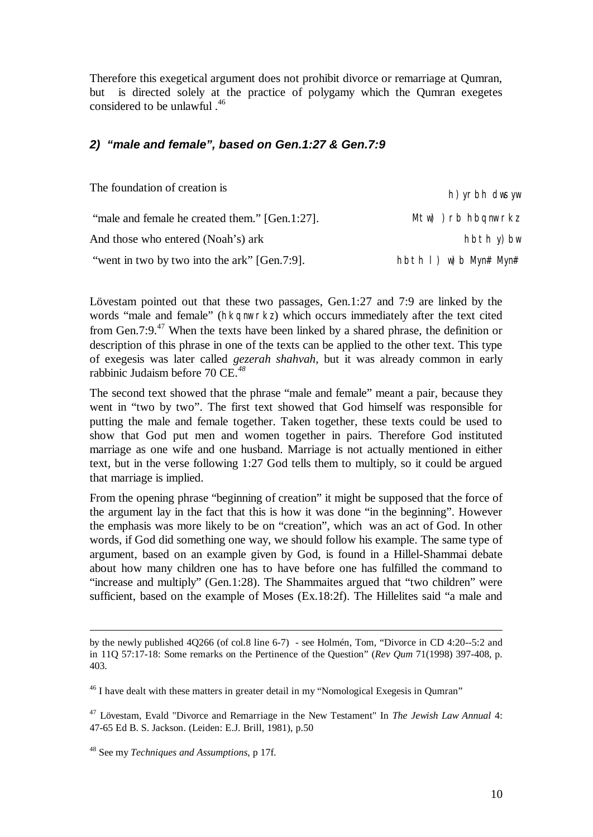Therefore this exegetical argument does not prohibit divorce or remarriage at Qumran, but is directed solely at the practice of polygamy which the Qumran exegetes considered to be unlawful .<sup>46</sup>

### *2) "male and female", based on Gen.1:27 & Gen.7:9*

| The foundation of creation is                  | h) yrbh dwsyw                 |
|------------------------------------------------|-------------------------------|
| "male and female he created them." [Gen.1:27]. | $Mtw)$ ) rb hbqnw rkz         |
| And those who entered (Noah's) ark             | $h$ bth y $)$ bw              |
| "went in two by two into the ark" [Gen.7:9].   | $h$ bth I $) w$ ) b Myn# Myn# |

Lövestam pointed out that these two passages, Gen.1:27 and 7:9 are linked by the words "male and female" (hkqnw rkz) which occurs immediately after the text cited from Gen.7:9.<sup>47</sup> When the texts have been linked by a shared phrase, the definition or description of this phrase in one of the texts can be applied to the other text. This type of exegesis was later called *gezerah shahvah,* but it was already common in early rabbinic Judaism before 70 CE.*<sup>48</sup>*

The second text showed that the phrase "male and female" meant a pair, because they went in "two by two". The first text showed that God himself was responsible for putting the male and female together. Taken together, these texts could be used to show that God put men and women together in pairs. Therefore God instituted marriage as one wife and one husband. Marriage is not actually mentioned in either text, but in the verse following 1:27 God tells them to multiply, so it could be argued that marriage is implied.

From the opening phrase "beginning of creation" it might be supposed that the force of the argument lay in the fact that this is how it was done "in the beginning". However the emphasis was more likely to be on "creation", which was an act of God. In other words, if God did something one way, we should follow his example. The same type of argument, based on an example given by God, is found in a Hillel-Shammai debate about how many children one has to have before one has fulfilled the command to "increase and multiply" (Gen.1:28). The Shammaites argued that "two children" were sufficient, based on the example of Moses (Ex.18:2f). The Hillelites said "a male and

by the newly published 4Q266 (of col.8 line 6-7) - see Holmén, Tom, "Divorce in CD 4:20--5:2 and in 11Q 57:17-18: Some remarks on the Pertinence of the Question" (*Rev Qum* 71(1998) 397-408, p. 403.

<sup>&</sup>lt;sup>46</sup> I have dealt with these matters in greater detail in my "Nomological Exegesis in Qumran"

<sup>47</sup> Lövestam, Evald "Divorce and Remarriage in the New Testament" In *The Jewish Law Annual* 4: 47-65 Ed B. S. Jackson. (Leiden: E.J. Brill, 1981), p.50

<sup>48</sup> See my *Techniques and Assumptions*, p 17f.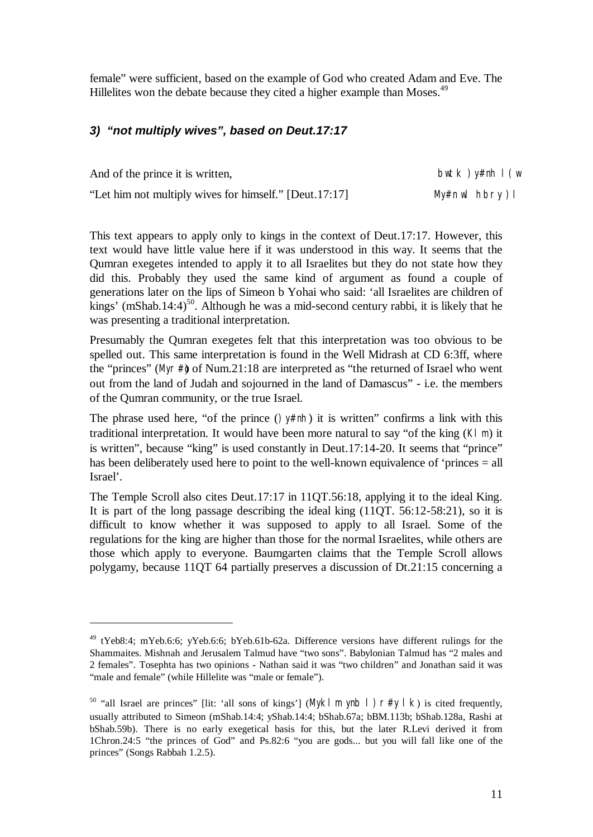female" were sufficient, based on the example of God who created Adam and Eve. The Hillelites won the debate because they cited a higher example than Moses.<sup>49</sup>

### *3) "not multiply wives", based on Deut.17:17*

| And of the prince it is written,                       | bwtk )y#nh I (w |
|--------------------------------------------------------|-----------------|
| "Let him not multiply wives for himself." [Deut.17:17] | My#nwl hbry)l   |

This text appears to apply only to kings in the context of Deut.17:17. However, this text would have little value here if it was understood in this way. It seems that the Qumran exegetes intended to apply it to all Israelites but they do not state how they did this. Probably they used the same kind of argument as found a couple of generations later on the lips of Simeon b Yohai who said: 'all Israelites are children of kings' (mShab.14:4)<sup>50</sup>. Although he was a mid-second century rabbi, it is likely that he was presenting a traditional interpretation.

Presumably the Qumran exegetes felt that this interpretation was too obvious to be spelled out. This same interpretation is found in the Well Midrash at CD 6:3ff, where the "princes" (Myr# $\phi$ of Num.21:18 are interpreted as "the returned of Israel who went out from the land of Judah and sojourned in the land of Damascus" - i.e. the members of the Qumran community, or the true Israel.

The phrase used here, "of the prince  $(y \# nh)$  it is written" confirms a link with this traditional interpretation. It would have been more natural to say "of the king (Klm) it is written", because "king" is used constantly in Deut.17:14-20. It seems that "prince" has been deliberately used here to point to the well-known equivalence of 'princes = all Israel'.

The Temple Scroll also cites Deut.17:17 in 11QT.56:18, applying it to the ideal King. It is part of the long passage describing the ideal king (11QT. 56:12-58:21), so it is difficult to know whether it was supposed to apply to all Israel. Some of the regulations for the king are higher than those for the normal Israelites, while others are those which apply to everyone. Baumgarten claims that the Temple Scroll allows polygamy, because 11QT 64 partially preserves a discussion of Dt.21:15 concerning a

<sup>49</sup> tYeb8:4; mYeb.6:6; yYeb.6:6; bYeb.61b-62a. Difference versions have different rulings for the Shammaites. Mishnah and Jerusalem Talmud have "two sons". Babylonian Talmud has "2 males and 2 females". Tosephta has two opinions - Nathan said it was "two children" and Jonathan said it was "male and female" (while Hillelite was "male or female").

<sup>&</sup>lt;sup>50</sup> "all Israel are princes" [lit: 'all sons of kings'] (Mykl m ynb l)  $\Gamma \# y \mid k$ ) is cited frequently, usually attributed to Simeon (mShab.14:4; yShab.14:4; bShab.67a; bBM.113b; bShab.128a, Rashi at bShab.59b). There is no early exegetical basis for this, but the later R.Levi derived it from 1Chron.24:5 "the princes of God" and Ps.82:6 "you are gods... but you will fall like one of the princes" (Songs Rabbah 1.2.5).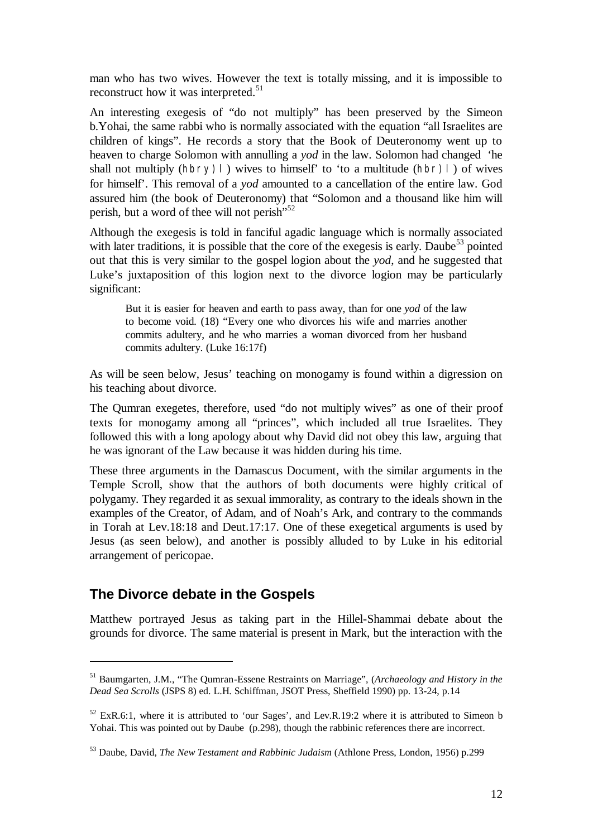man who has two wives. However the text is totally missing, and it is impossible to reconstruct how it was interpreted.<sup>51</sup>

An interesting exegesis of "do not multiply" has been preserved by the Simeon b.Yohai, the same rabbi who is normally associated with the equation "all Israelites are children of kings". He records a story that the Book of Deuteronomy went up to heaven to charge Solomon with annulling a *yod* in the law. Solomon had changed 'he shall not multiply (hbry  $| \cdot |$ ) wives to himself' to 'to a multitude (hbr) | ) of wives for himself'. This removal of a *yod* amounted to a cancellation of the entire law. God assured him (the book of Deuteronomy) that "Solomon and a thousand like him will perish, but a word of thee will not perish"<sup>52</sup>

Although the exegesis is told in fanciful agadic language which is normally associated with later traditions, it is possible that the core of the exegesis is early. Daube<sup>53</sup> pointed out that this is very similar to the gospel logion about the *yod*, and he suggested that Luke's juxtaposition of this logion next to the divorce logion may be particularly significant:

But it is easier for heaven and earth to pass away, than for one *yod* of the law to become void. (18) "Every one who divorces his wife and marries another commits adultery, and he who marries a woman divorced from her husband commits adultery. (Luke 16:17f)

As will be seen below, Jesus' teaching on monogamy is found within a digression on his teaching about divorce.

The Qumran exegetes, therefore, used "do not multiply wives" as one of their proof texts for monogamy among all "princes", which included all true Israelites. They followed this with a long apology about why David did not obey this law, arguing that he was ignorant of the Law because it was hidden during his time.

These three arguments in the Damascus Document, with the similar arguments in the Temple Scroll, show that the authors of both documents were highly critical of polygamy. They regarded it as sexual immorality, as contrary to the ideals shown in the examples of the Creator, of Adam, and of Noah's Ark, and contrary to the commands in Torah at Lev.18:18 and Deut.17:17. One of these exegetical arguments is used by Jesus (as seen below), and another is possibly alluded to by Luke in his editorial arrangement of pericopae.

# **The Divorce debate in the Gospels**

 $\overline{a}$ 

Matthew portrayed Jesus as taking part in the Hillel-Shammai debate about the grounds for divorce. The same material is present in Mark, but the interaction with the

<sup>51</sup> Baumgarten, J.M., "The Qumran-Essene Restraints on Marriage", (*Archaeology and History in the Dead Sea Scrolls* (JSPS 8) ed. L.H. Schiffman, JSOT Press, Sheffield 1990) pp. 13-24, p.14

 $52$  ExR.6:1, where it is attributed to 'our Sages', and Lev.R.19:2 where it is attributed to Simeon b Yohai. This was pointed out by Daube (p.298), though the rabbinic references there are incorrect.

<sup>53</sup> Daube, David, *The New Testament and Rabbinic Judaism* (Athlone Press, London, 1956) p.299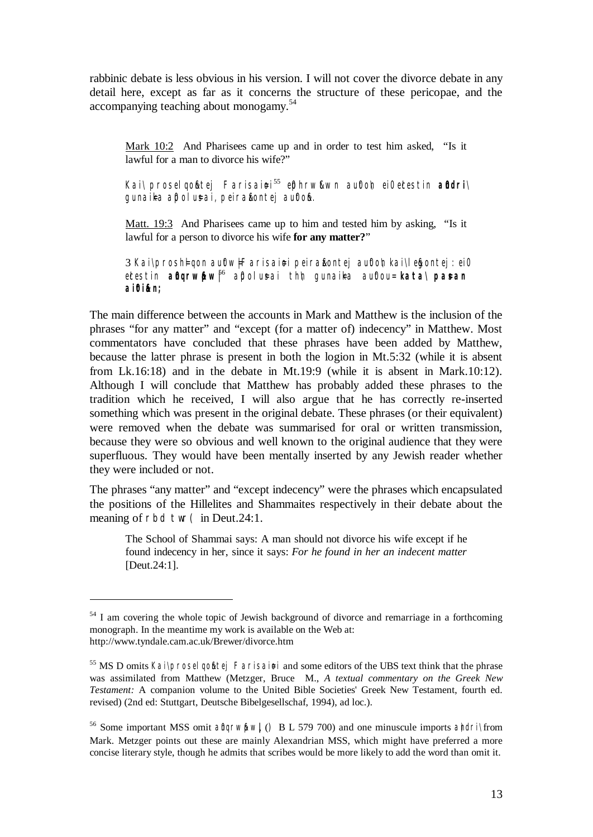rabbinic debate is less obvious in his version. I will not cover the divorce debate in any detail here, except as far as it concerns the structure of these pericopae, and the accompanying teaching about monogamy.<sup>54</sup>

Mark 10:2 And Pharisees came up and in order to test him asked, "Is it lawful for a man to divorce his wife?"

Kai\ prosel qohtej Farisaiei<sup>55</sup> ephrwtwn auton ei Oebestin andri\ gunaika apolusai, peiratontej auton.

Matt. 19:3 And Pharisees came up to him and tested him by asking, "Is it lawful for a person to divorce his wife **for any matter?**"

3 Kai\prosh=qon au0w=Farisaiei peiratontej au0on kai\ et pontej: eiO e cestin **analytical**<sup>6</sup> a polusai this quide a autou= **kata\ pasan ai0ti&an;**

The main difference between the accounts in Mark and Matthew is the inclusion of the phrases "for any matter" and "except (for a matter of) indecency" in Matthew. Most commentators have concluded that these phrases have been added by Matthew, because the latter phrase is present in both the logion in Mt.5:32 (while it is absent from Lk.16:18) and in the debate in Mt.19:9 (while it is absent in Mark.10:12). Although I will conclude that Matthew has probably added these phrases to the tradition which he received, I will also argue that he has correctly re-inserted something which was present in the original debate. These phrases (or their equivalent) were removed when the debate was summarised for oral or written transmission, because they were so obvious and well known to the original audience that they were superfluous. They would have been mentally inserted by any Jewish reader whether they were included or not.

The phrases "any matter" and "except indecency" were the phrases which encapsulated the positions of the Hillelites and Shammaites respectively in their debate about the meaning of rbd twr( in Deut.24:1.

The School of Shammai says: A man should not divorce his wife except if he found indecency in her, since it says: *For he found in her an indecent matter* [Deut.24:1].

<sup>&</sup>lt;sup>54</sup> I am covering the whole topic of Jewish background of divorce and remarriage in a forthcoming monograph. In the meantime my work is available on the Web at: http://www.tyndale.cam.ac.uk/Brewer/divorce.htm

 $55$  MS D omits Kai\ prosel qontej Farisai $\Theta$ i and some editors of the UBS text think that the phrase was assimilated from Matthew (Metzger, Bruce M., *A textual commentary on the Greek New Testament:* A companion volume to the United Bible Societies' Greek New Testament, fourth ed. revised) (2nd ed: Stuttgart, Deutsche Bibelgesellschaf, 1994), ad loc.).

<sup>&</sup>lt;sup>56</sup> Some important MSS omit a0 $Q$ rw $\beta$ w|() B L 579 700) and one minuscule imports a)ndri $\gamma$ from Mark. Metzger points out these are mainly Alexandrian MSS, which might have preferred a more concise literary style, though he admits that scribes would be more likely to add the word than omit it.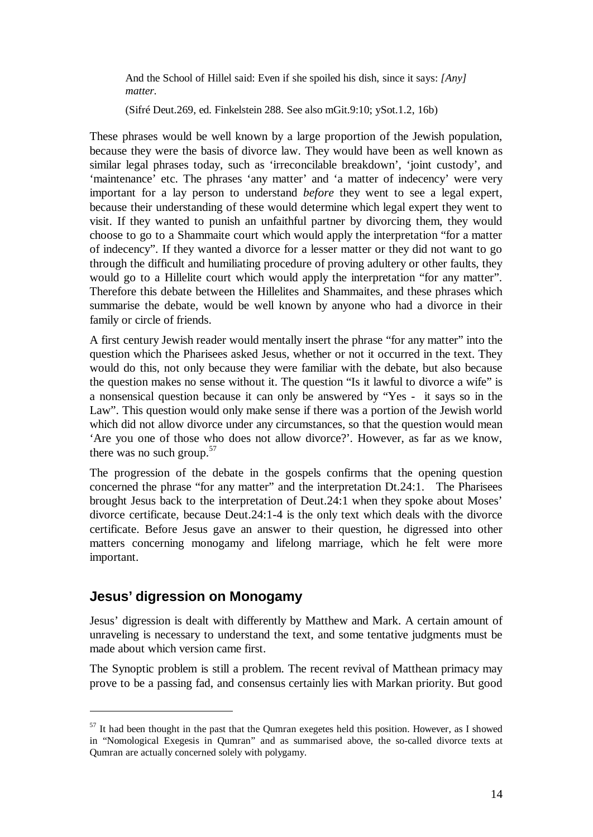And the School of Hillel said: Even if she spoiled his dish, since it says: *[Any] matter.* 

(Sifré Deut.269, ed. Finkelstein 288. See also mGit.9:10; ySot.1.2, 16b)

These phrases would be well known by a large proportion of the Jewish population, because they were the basis of divorce law. They would have been as well known as similar legal phrases today, such as 'irreconcilable breakdown', 'joint custody', and 'maintenance' etc. The phrases 'any matter' and 'a matter of indecency' were very important for a lay person to understand *before* they went to see a legal expert, because their understanding of these would determine which legal expert they went to visit. If they wanted to punish an unfaithful partner by divorcing them, they would choose to go to a Shammaite court which would apply the interpretation "for a matter of indecency". If they wanted a divorce for a lesser matter or they did not want to go through the difficult and humiliating procedure of proving adultery or other faults, they would go to a Hillelite court which would apply the interpretation "for any matter". Therefore this debate between the Hillelites and Shammaites, and these phrases which summarise the debate, would be well known by anyone who had a divorce in their family or circle of friends.

A first century Jewish reader would mentally insert the phrase "for any matter" into the question which the Pharisees asked Jesus, whether or not it occurred in the text. They would do this, not only because they were familiar with the debate, but also because the question makes no sense without it. The question "Is it lawful to divorce a wife" is a nonsensical question because it can only be answered by "Yes - it says so in the Law". This question would only make sense if there was a portion of the Jewish world which did not allow divorce under any circumstances, so that the question would mean 'Are you one of those who does not allow divorce?'. However, as far as we know, there was no such group. $57$ 

The progression of the debate in the gospels confirms that the opening question concerned the phrase "for any matter" and the interpretation Dt.24:1. The Pharisees brought Jesus back to the interpretation of Deut.24:1 when they spoke about Moses' divorce certificate, because Deut.24:1-4 is the only text which deals with the divorce certificate. Before Jesus gave an answer to their question, he digressed into other matters concerning monogamy and lifelong marriage, which he felt were more important.

## **Jesus' digression on Monogamy**

 $\overline{a}$ 

Jesus' digression is dealt with differently by Matthew and Mark. A certain amount of unraveling is necessary to understand the text, and some tentative judgments must be made about which version came first.

The Synoptic problem is still a problem. The recent revival of Matthean primacy may prove to be a passing fad, and consensus certainly lies with Markan priority. But good

 $57$  It had been thought in the past that the Qumran exegetes held this position. However, as I showed in "Nomological Exegesis in Qumran" and as summarised above, the so-called divorce texts at Qumran are actually concerned solely with polygamy.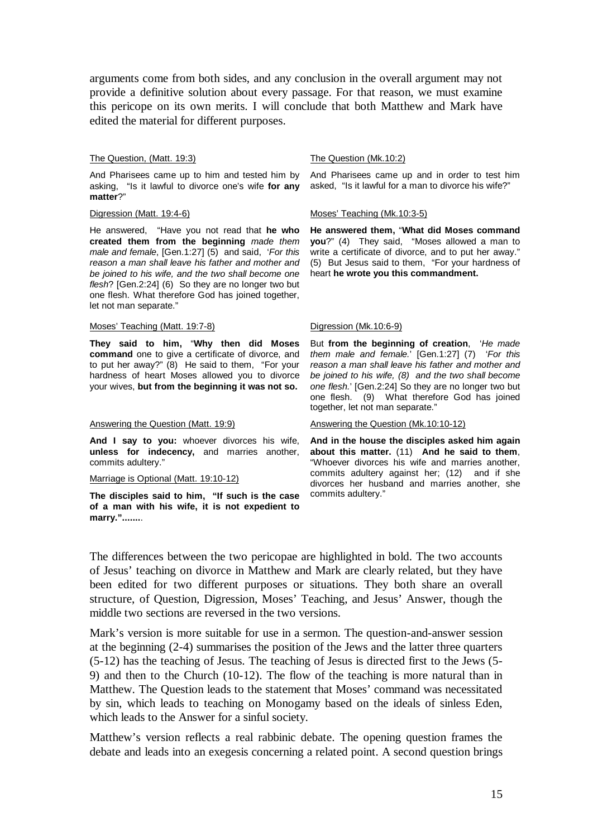arguments come from both sides, and any conclusion in the overall argument may not provide a definitive solution about every passage. For that reason, we must examine this pericope on its own merits. I will conclude that both Matthew and Mark have edited the material for different purposes.

### The Question, (Matt. 19:3)

And Pharisees came up to him and tested him by asking, "Is it lawful to divorce one's wife **for any matter**?"

### Digression (Matt. 19:4-6)

He answered, "Have you not read that **he who created them from the beginning** *made them male and female*, [Gen.1:27] (5) and said, '*For this reason a man shall leave his father and mother and be joined to his wife, and the two shall become one flesh*? [Gen.2:24] (6) So they are no longer two but one flesh. What therefore God has joined together, let not man separate."

### Moses' Teaching (Matt. 19:7-8)

**They said to him,** "**Why then did Moses command** one to give a certificate of divorce, and to put her away?" (8) He said to them, "For your hardness of heart Moses allowed you to divorce your wives, **but from the beginning it was not so.**

#### Answering the Question (Matt. 19:9)

**And I say to you:** whoever divorces his wife, **unless for indecency,** and marries another, commits adultery."

#### Marriage is Optional (Matt. 19:10-12)

**The disciples said to him, "If such is the case of a man with his wife, it is not expedient to marry.".......**.

### The Question (Mk.10:2)

And Pharisees came up and in order to test him asked, "Is it lawful for a man to divorce his wife?"

### Moses' Teaching (Mk.10:3-5)

**He answered them,** "**What did Moses command you**?" (4) They said, "Moses allowed a man to write a certificate of divorce, and to put her away." (5) But Jesus said to them, "For your hardness of heart **he wrote you this commandment.** 

### Digression (Mk.10:6-9)

But **from the beginning of creation**, '*He made them male and female.*' [Gen.1:27] (7) '*For this reason a man shall leave his father and mother and be joined to his wife, (8) and the two shall become one flesh.*' [Gen.2:24] So they are no longer two but one flesh. (9) What therefore God has joined together, let not man separate."

#### Answering the Question (Mk.10:10-12)

**And in the house the disciples asked him again about this matter.** (11) **And he said to them**, "Whoever divorces his wife and marries another, commits adultery against her; (12) and if she divorces her husband and marries another, she commits adultery."

The differences between the two pericopae are highlighted in bold. The two accounts of Jesus' teaching on divorce in Matthew and Mark are clearly related, but they have been edited for two different purposes or situations. They both share an overall structure, of Question, Digression, Moses' Teaching, and Jesus' Answer, though the middle two sections are reversed in the two versions.

Mark's version is more suitable for use in a sermon. The question-and-answer session at the beginning (2-4) summarises the position of the Jews and the latter three quarters (5-12) has the teaching of Jesus. The teaching of Jesus is directed first to the Jews (5- 9) and then to the Church (10-12). The flow of the teaching is more natural than in Matthew. The Question leads to the statement that Moses' command was necessitated by sin, which leads to teaching on Monogamy based on the ideals of sinless Eden, which leads to the Answer for a sinful society.

Matthew's version reflects a real rabbinic debate. The opening question frames the debate and leads into an exegesis concerning a related point. A second question brings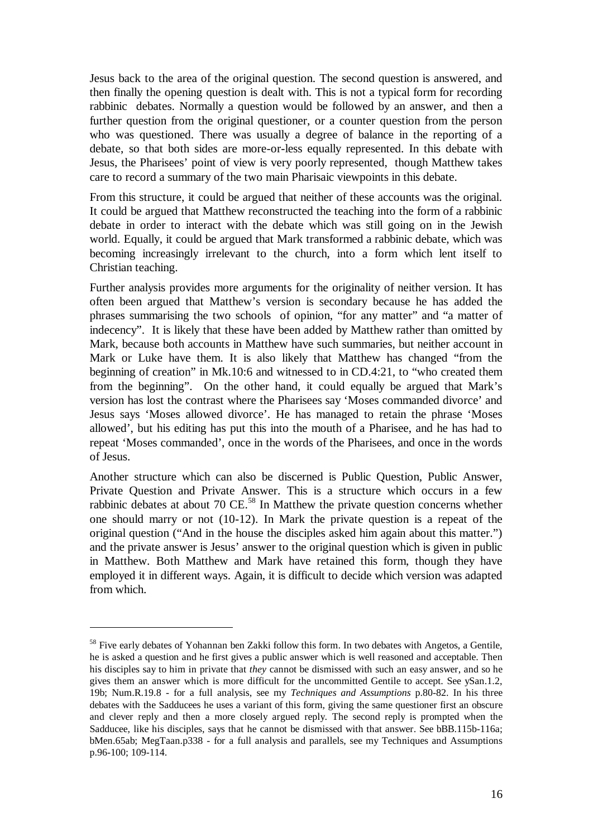Jesus back to the area of the original question. The second question is answered, and then finally the opening question is dealt with. This is not a typical form for recording rabbinic debates. Normally a question would be followed by an answer, and then a further question from the original questioner, or a counter question from the person who was questioned. There was usually a degree of balance in the reporting of a debate, so that both sides are more-or-less equally represented. In this debate with Jesus, the Pharisees' point of view is very poorly represented, though Matthew takes care to record a summary of the two main Pharisaic viewpoints in this debate.

From this structure, it could be argued that neither of these accounts was the original. It could be argued that Matthew reconstructed the teaching into the form of a rabbinic debate in order to interact with the debate which was still going on in the Jewish world. Equally, it could be argued that Mark transformed a rabbinic debate, which was becoming increasingly irrelevant to the church, into a form which lent itself to Christian teaching.

Further analysis provides more arguments for the originality of neither version. It has often been argued that Matthew's version is secondary because he has added the phrases summarising the two schools of opinion, "for any matter" and "a matter of indecency". It is likely that these have been added by Matthew rather than omitted by Mark, because both accounts in Matthew have such summaries, but neither account in Mark or Luke have them. It is also likely that Matthew has changed "from the beginning of creation" in Mk.10:6 and witnessed to in CD.4:21, to "who created them from the beginning". On the other hand, it could equally be argued that Mark's version has lost the contrast where the Pharisees say 'Moses commanded divorce' and Jesus says 'Moses allowed divorce'. He has managed to retain the phrase 'Moses allowed', but his editing has put this into the mouth of a Pharisee, and he has had to repeat 'Moses commanded', once in the words of the Pharisees, and once in the words of Jesus.

Another structure which can also be discerned is Public Question, Public Answer, Private Question and Private Answer. This is a structure which occurs in a few rabbinic debates at about 70  $CE<sup>58</sup>$  In Matthew the private question concerns whether one should marry or not (10-12). In Mark the private question is a repeat of the original question ("And in the house the disciples asked him again about this matter.") and the private answer is Jesus' answer to the original question which is given in public in Matthew. Both Matthew and Mark have retained this form, though they have employed it in different ways. Again, it is difficult to decide which version was adapted from which.

<sup>&</sup>lt;sup>58</sup> Five early debates of Yohannan ben Zakki follow this form. In two debates with Angetos, a Gentile, he is asked a question and he first gives a public answer which is well reasoned and acceptable. Then his disciples say to him in private that *they* cannot be dismissed with such an easy answer, and so he gives them an answer which is more difficult for the uncommitted Gentile to accept. See ySan.1.2, 19b; Num.R.19.8 - for a full analysis, see my *Techniques and Assumptions* p.80-82. In his three debates with the Sadducees he uses a variant of this form, giving the same questioner first an obscure and clever reply and then a more closely argued reply. The second reply is prompted when the Sadducee, like his disciples, says that he cannot be dismissed with that answer. See bBB.115b-116a; bMen.65ab; MegTaan.p338 - for a full analysis and parallels, see my Techniques and Assumptions p.96-100; 109-114.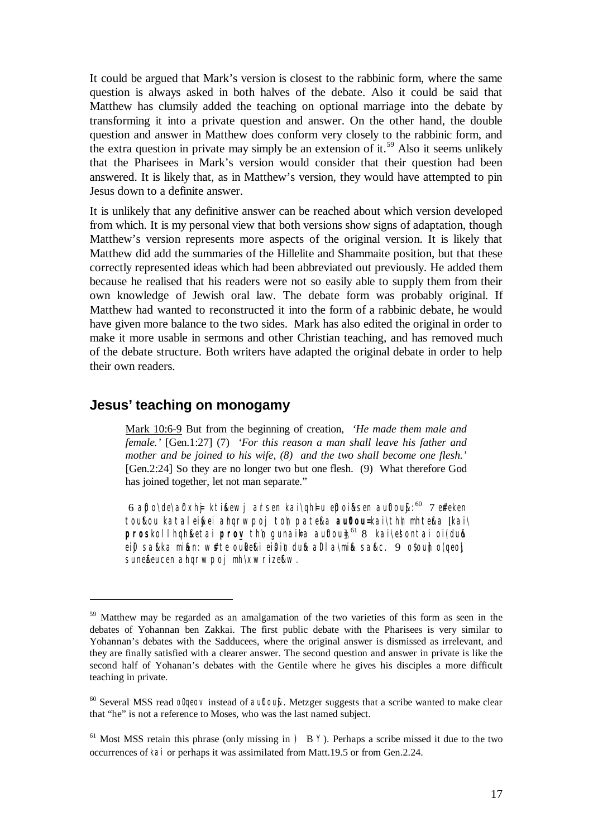It could be argued that Mark's version is closest to the rabbinic form, where the same question is always asked in both halves of the debate. Also it could be said that Matthew has clumsily added the teaching on optional marriage into the debate by transforming it into a private question and answer. On the other hand, the double question and answer in Matthew does conform very closely to the rabbinic form, and the extra question in private may simply be an extension of it.<sup>59</sup> Also it seems unlikely that the Pharisees in Mark's version would consider that their question had been answered. It is likely that, as in Matthew's version, they would have attempted to pin Jesus down to a definite answer.

It is unlikely that any definitive answer can be reached about which version developed from which. It is my personal view that both versions show signs of adaptation, though Matthew's version represents more aspects of the original version. It is likely that Matthew did add the summaries of the Hillelite and Shammaite position, but that these correctly represented ideas which had been abbreviated out previously. He added them because he realised that his readers were not so easily able to supply them from their own knowledge of Jewish oral law. The debate form was probably original. If Matthew had wanted to reconstructed it into the form of a rabbinic debate, he would have given more balance to the two sides. Mark has also edited the original in order to make it more usable in sermons and other Christian teaching, and has removed much of the debate structure. Both writers have adapted the original debate in order to help their own readers.

### **Jesus' teaching on monogamy**

 $\overline{a}$ 

Mark 10:6-9 But from the beginning of creation, *'He made them male and female.'* [Gen.1:27] (7) *'For this reason a man shall leave his father and mother and be joined to his wife, (8) and the two shall become one flesh.'* [Gen.2:24] So they are no longer two but one flesh. (9) What therefore God has joined together, let not man separate."

6 a $\beta$ o\ de\ a0xh j kti&ewj a rsen kai\ qh jeu e $\beta$ oi hsen au $\beta$ ou $\beta$ :<sup>60</sup> 7 e#eken toutou kataleiyei ahgrwpoj toh patera **auOu** $\neq$ ai\th\n mhtera [kai\ **pros**kollhqh&etai **pro<u>v</u> th\ gunai<del>k</del>a au©ou** $_{\text{F}}$ **<sup>61</sup> 8 kai\esontai oi(dub** eiD sa $k$ ka mi $\ln$ : w $\#$ te ou $\Omega$ ti ei $\sin$  du $\ln$ a $\Omega$ la $\ln$ i $\ln$ a sa $\ln c$ . 9 o $\sin$ n o( $\sin$ sune teucen ahqrwpoj mh\ xwrizettw.

<sup>&</sup>lt;sup>59</sup> Matthew may be regarded as an amalgamation of the two varieties of this form as seen in the debates of Yohannan ben Zakkai. The first public debate with the Pharisees is very similar to Yohannan's debates with the Sadducees, where the original answer is dismissed as irrelevant, and they are finally satisfied with a clearer answer. The second question and answer in private is like the second half of Yohanan's debates with the Gentile where he gives his disciples a more difficult teaching in private.

 $60$  Several MSS read  $O$ Q $e$ ov instead of  $a$ u $O$ ou $\beta$ . Metzger suggests that a scribe wanted to make clear that "he" is not a reference to Moses, who was the last named subject.

 $61$  Most MSS retain this phrase (only missing in ) B Y). Perhaps a scribe missed it due to the two occurrences of kai or perhaps it was assimilated from Matt.19.5 or from Gen.2.24.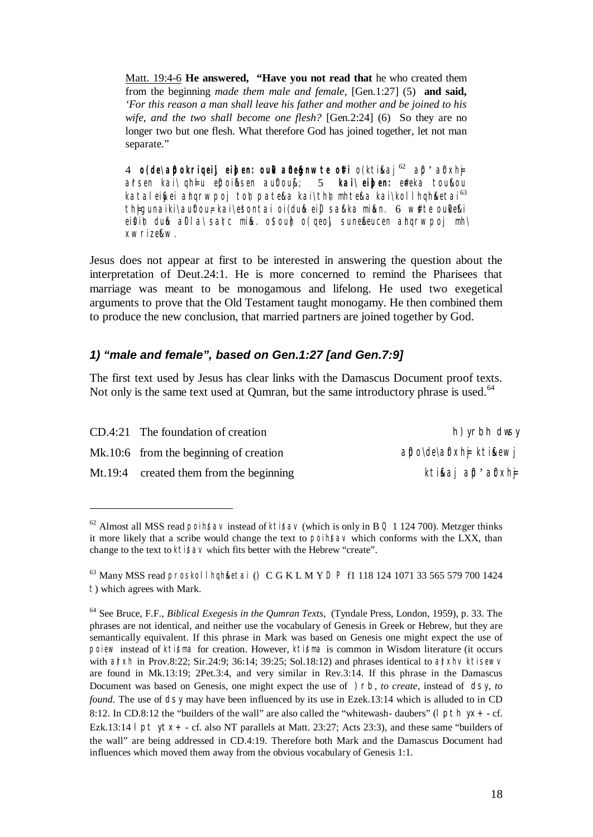Matt. 19:4-6 **He answered, "Have you not read that** he who created them from the beginning *made them male and female*, [Gen.1:27] (5) **and said,**  *'For this reason a man shall leave his father and mother and be joined to his wife, and the two shall become one flesh?* [Gen.2:24] (6) So they are no longer two but one flesh. What therefore God has joined together, let not man separate."

4 **o(de\a0okrigei\ eiben: ou0a Qeanwte o#i** o(kti&ai<sup>62</sup> a0' a0xhi= arsen kai\ qh=u e0oihsen aucout; 5 kai\ eiben: e#eka toutou kataleiyei ahqrwpoj toh patera kai\thh mhtera kai\ kollhqh&etai<sup>63</sup> th=| gunaiki\ au0tou=, kai\ e!sontai oi( du&o ei0j sa&rka mi&an. 6 w#ste ou0ke&ti ei $\sin$  dub a0l a\sakc mia. o\$ oun o( qeo) sune teucen a hqrwpoj mh\ xwrize&tw.

Jesus does not appear at first to be interested in answering the question about the interpretation of Deut.24:1. He is more concerned to remind the Pharisees that marriage was meant to be monogamous and lifelong. He used two exegetical arguments to prove that the Old Testament taught monogamy. He then combined them to produce the new conclusion, that married partners are joined together by God.

### *1) "male and female", based on Gen.1:27 [and Gen.7:9]*

 $\overline{a}$ 

The first text used by Jesus has clear links with the Damascus Document proof texts. Not only is the same text used at Qumran, but the same introductory phrase is used.<sup>64</sup>

| $CD.4:21$ The foundation of creation      | h) yrbh dwsy        |
|-------------------------------------------|---------------------|
| Mk.10:6 from the beginning of creation    | apode\aoxh⊨ktilsewj |
| $Mt.19:4$ created them from the beginning | kti&aj ap aoxh⊨     |

 $62$  Almost all MSS read poihsav instead of ktisav (which is only in B Q 1 124 700). Metzger thinks it more likely that a scribe would change the text to poih/sav which conforms with the LXX, than change to the text to ktisav which fits better with the Hebrew "create".

<sup>&</sup>lt;sup>63</sup> Many MSS read proskollhqh&etai () C G K L M Y D P f1 118 124 1071 33 565 579 700 1424 t) which agrees with Mark.

<sup>64</sup> See Bruce, F.F., *Biblical Exegesis in the Qumran Texts*, (Tyndale Press, London, 1959), p. 33. The phrases are not identical, and neither use the vocabulary of Genesis in Greek or Hebrew, but they are semantically equivalent. If this phrase in Mark was based on Genesis one might expect the use of poiew instead of ktisma for creation. However, ktisma is common in Wisdom literature (it occurs with a $\gamma$ xh in Prov.8:22; Sir.24:9; 36:14; 39:25; Sol.18:12) and phrases identical to a $\gamma$ xhv ktisewv are found in Mk.13:19; 2Pet.3:4, and very similar in Rev.3:14. If this phrase in the Damascus Document was based on Genesis, one might expect the use of ) rb, *to create*, instead of dsy, *to found*. The use of dsy may have been influenced by its use in Ezek.13:14 which is alluded to in CD 8:12. In CD.8:12 the "builders of the wall" are also called the "whitewash-daubers" ( $\vert$  pth yx + - cf. Ezk.13:14 | pt  $ytx + - cf.$  also NT parallels at Matt. 23:27; Acts 23:3), and these same "builders of the wall" are being addressed in CD.4:19. Therefore both Mark and the Damascus Document had influences which moved them away from the obvious vocabulary of Genesis 1:1.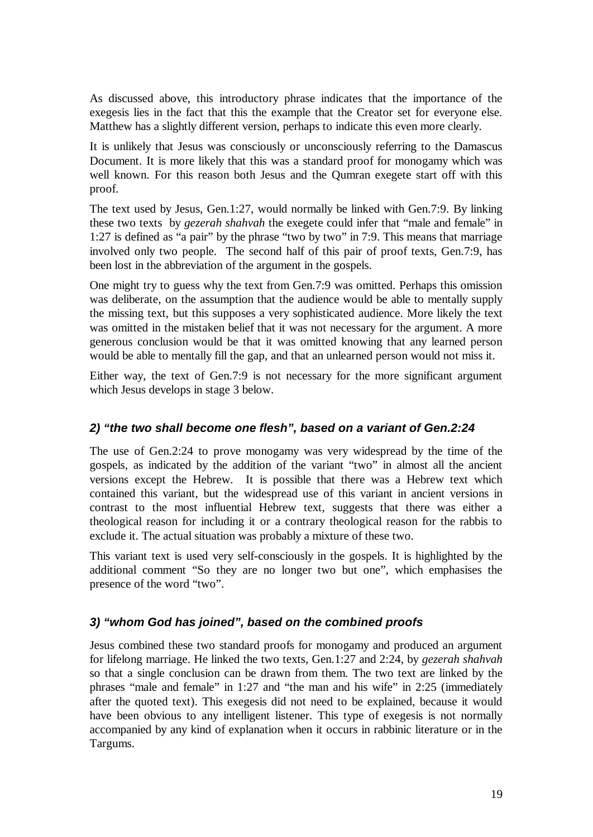As discussed above, this introductory phrase indicates that the importance of the exegesis lies in the fact that this the example that the Creator set for everyone else. Matthew has a slightly different version, perhaps to indicate this even more clearly.

It is unlikely that Jesus was consciously or unconsciously referring to the Damascus Document. It is more likely that this was a standard proof for monogamy which was well known. For this reason both Jesus and the Qumran exegete start off with this proof.

The text used by Jesus, Gen.1:27, would normally be linked with Gen.7:9*.* By linking these two texts by *gezerah shahvah* the exegete could infer that "male and female" in 1:27 is defined as "a pair" by the phrase "two by two" in 7:9. This means that marriage involved only two people. The second half of this pair of proof texts, Gen.7:9, has been lost in the abbreviation of the argument in the gospels.

One might try to guess why the text from Gen.7:9 was omitted. Perhaps this omission was deliberate, on the assumption that the audience would be able to mentally supply the missing text, but this supposes a very sophisticated audience. More likely the text was omitted in the mistaken belief that it was not necessary for the argument. A more generous conclusion would be that it was omitted knowing that any learned person would be able to mentally fill the gap, and that an unlearned person would not miss it.

Either way, the text of Gen.7:9 is not necessary for the more significant argument which Jesus develops in stage 3 below.

## *2) "the two shall become one flesh", based on a variant of Gen.2:24*

The use of Gen.2:24 to prove monogamy was very widespread by the time of the gospels, as indicated by the addition of the variant "two" in almost all the ancient versions except the Hebrew. It is possible that there was a Hebrew text which contained this variant, but the widespread use of this variant in ancient versions in contrast to the most influential Hebrew text, suggests that there was either a theological reason for including it or a contrary theological reason for the rabbis to exclude it. The actual situation was probably a mixture of these two.

This variant text is used very self-consciously in the gospels. It is highlighted by the additional comment "So they are no longer two but one", which emphasises the presence of the word "two".

## *3) "whom God has joined", based on the combined proofs*

Jesus combined these two standard proofs for monogamy and produced an argument for lifelong marriage. He linked the two texts, Gen.1:27 and 2:24, by *gezerah shahvah* so that a single conclusion can be drawn from them. The two text are linked by the phrases "male and female" in 1:27 and "the man and his wife" in 2:25 (immediately after the quoted text). This exegesis did not need to be explained, because it would have been obvious to any intelligent listener. This type of exegesis is not normally accompanied by any kind of explanation when it occurs in rabbinic literature or in the Targums.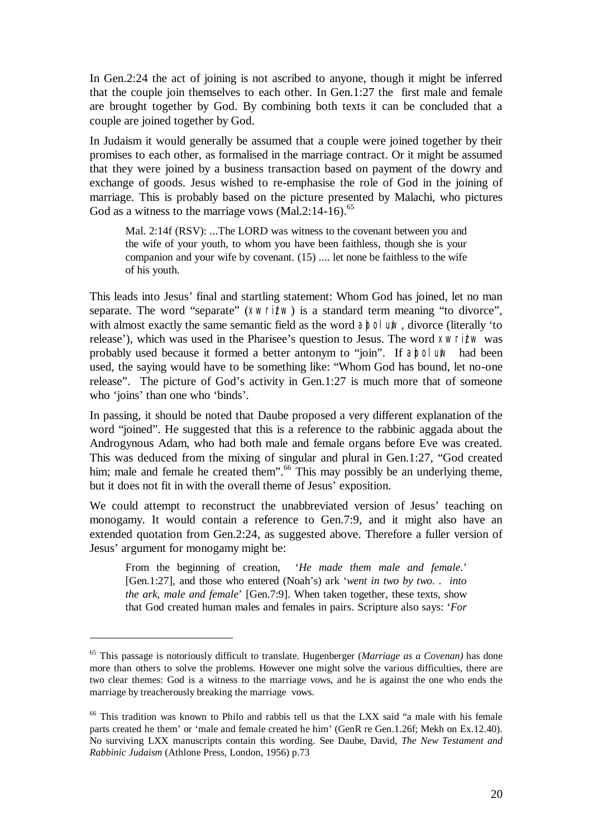In Gen.2:24 the act of joining is not ascribed to anyone, though it might be inferred that the couple join themselves to each other. In Gen.1:27 the first male and female are brought together by God. By combining both texts it can be concluded that a couple are joined together by God.

In Judaism it would generally be assumed that a couple were joined together by their promises to each other, as formalised in the marriage contract. Or it might be assumed that they were joined by a business transaction based on payment of the dowry and exchange of goods. Jesus wished to re-emphasise the role of God in the joining of marriage. This is probably based on the picture presented by Malachi, who pictures God as a witness to the marriage vows  $(Mal.2:14-16)$ .<sup>65</sup>

Mal. 2:14f (RSV): ...The LORD was witness to the covenant between you and the wife of your youth, to whom you have been faithless, though she is your companion and your wife by covenant. (15) .... let none be faithless to the wife of his youth.

This leads into Jesus' final and startling statement: Whom God has joined, let no man separate. The word "separate" (xwri/zw) is a standard term meaning "to divorce", with almost exactly the same semantic field as the word a)pol u/w, divorce (literally 'to release'), which was used in the Pharisee's question to Jesus. The word xwrikw was probably used because it formed a better antonym to "join". If a poluw had been used, the saying would have to be something like: "Whom God has bound, let no-one release". The picture of God's activity in Gen.1:27 is much more that of someone who 'joins' than one who 'binds'.

In passing, it should be noted that Daube proposed a very different explanation of the word "joined". He suggested that this is a reference to the rabbinic aggada about the Androgynous Adam, who had both male and female organs before Eve was created. This was deduced from the mixing of singular and plural in Gen.1:27, "God created him; male and female he created them".<sup>66</sup> This may possibly be an underlying theme, but it does not fit in with the overall theme of Jesus' exposition.

We could attempt to reconstruct the unabbreviated version of Jesus' teaching on monogamy. It would contain a reference to Gen.7:9, and it might also have an extended quotation from Gen.2:24, as suggested above. Therefore a fuller version of Jesus' argument for monogamy might be:

From the beginning of creation, '*He made them male and female*.' [Gen.1:27], and those who entered (Noah's) ark '*went in two by two. . into the ark, male and female*' [Gen.7:9]. When taken together, these texts, show that God created human males and females in pairs. Scripture also says: '*For* 

<sup>65</sup> This passage is notoriously difficult to translate. Hugenberger (*Marriage as a Covenan)* has done more than others to solve the problems. However one might solve the various difficulties, there are two clear themes: God is a witness to the marriage vows, and he is against the one who ends the marriage by treacherously breaking the marriage vows.

<sup>&</sup>lt;sup>66</sup> This tradition was known to Philo and rabbis tell us that the LXX said "a male with his female parts created he them' or 'male and female created he him' (GenR re Gen.1.26f; Mekh on Ex.12.40). No surviving LXX manuscripts contain this wording. See Daube, David, *The New Testament and Rabbinic Judaism* (Athlone Press, London, 1956) p.73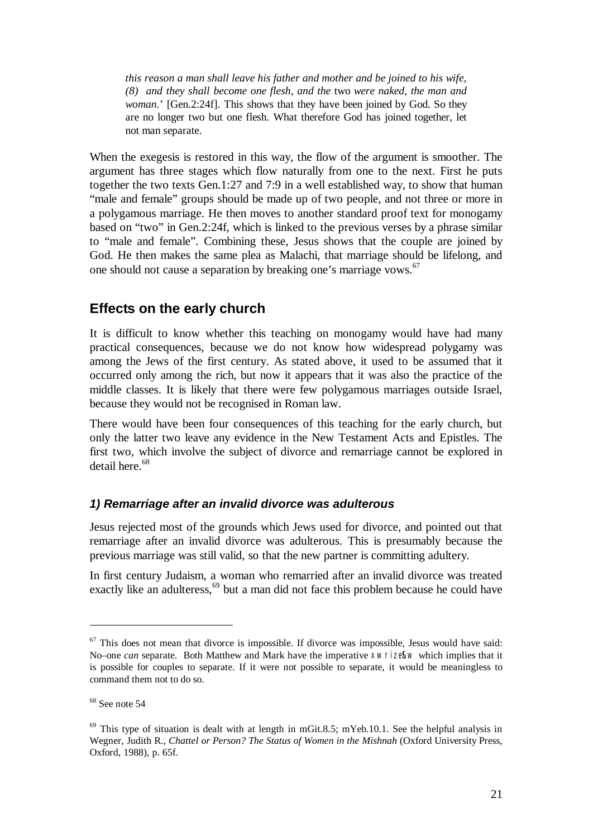*this reason a man shall leave his father and mother and be joined to his wife, (8) and they shall become one flesh, and the* two *were naked, the man and woman.*' [Gen.2:24f]. This shows that they have been joined by God. So they are no longer two but one flesh. What therefore God has joined together, let not man separate.

When the exegesis is restored in this way, the flow of the argument is smoother. The argument has three stages which flow naturally from one to the next. First he puts together the two texts Gen.1:27 and 7:9 in a well established way, to show that human "male and female" groups should be made up of two people, and not three or more in a polygamous marriage. He then moves to another standard proof text for monogamy based on "two" in Gen.2:24f, which is linked to the previous verses by a phrase similar to "male and female". Combining these, Jesus shows that the couple are joined by God. He then makes the same plea as Malachi, that marriage should be lifelong, and one should not cause a separation by breaking one's marriage vows.<sup>67</sup>

# **Effects on the early church**

It is difficult to know whether this teaching on monogamy would have had many practical consequences, because we do not know how widespread polygamy was among the Jews of the first century. As stated above, it used to be assumed that it occurred only among the rich, but now it appears that it was also the practice of the middle classes. It is likely that there were few polygamous marriages outside Israel, because they would not be recognised in Roman law.

There would have been four consequences of this teaching for the early church, but only the latter two leave any evidence in the New Testament Acts and Epistles. The first two, which involve the subject of divorce and remarriage cannot be explored in detail here.<sup>68</sup>

## *1) Remarriage after an invalid divorce was adulterous*

Jesus rejected most of the grounds which Jews used for divorce, and pointed out that remarriage after an invalid divorce was adulterous. This is presumably because the previous marriage was still valid, so that the new partner is committing adultery.

In first century Judaism, a woman who remarried after an invalid divorce was treated exactly like an adulteress,<sup>69</sup> but a man did not face this problem because he could have

 $67$  This does not mean that divorce is impossible. If divorce was impossible, Jesus would have said: No–one *can* separate. Both Matthew and Mark have the imperative xwrize two which implies that it is possible for couples to separate. If it were not possible to separate, it would be meaningless to command them not to do so.

<sup>68</sup> See note 54

 $69$  This type of situation is dealt with at length in mGit.8.5; mYeb.10.1. See the helpful analysis in Wegner, Judith R., *Chattel or Person? The Status of Women in the Mishnah* (Oxford University Press, Oxford, 1988), p. 65f.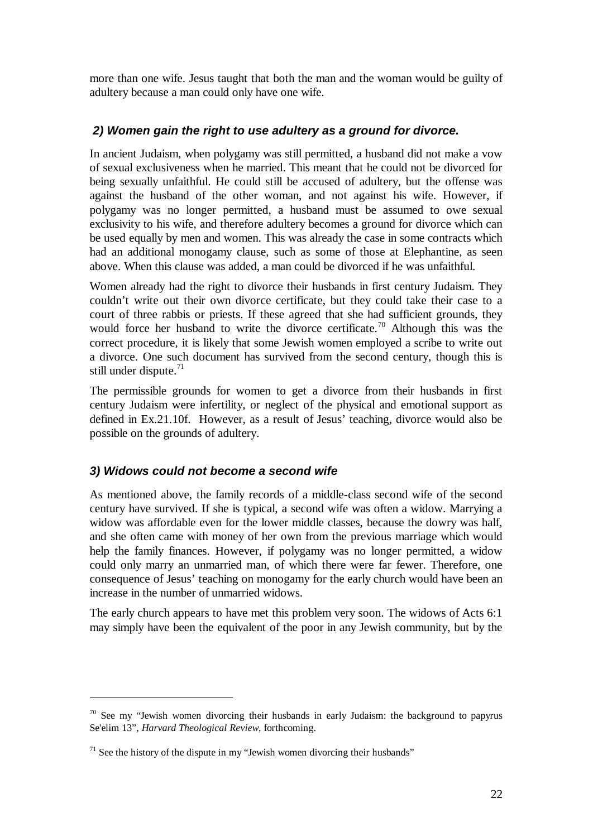more than one wife. Jesus taught that both the man and the woman would be guilty of adultery because a man could only have one wife.

### *2) Women gain the right to use adultery as a ground for divorce.*

In ancient Judaism, when polygamy was still permitted, a husband did not make a vow of sexual exclusiveness when he married. This meant that he could not be divorced for being sexually unfaithful. He could still be accused of adultery, but the offense was against the husband of the other woman, and not against his wife. However, if polygamy was no longer permitted, a husband must be assumed to owe sexual exclusivity to his wife, and therefore adultery becomes a ground for divorce which can be used equally by men and women. This was already the case in some contracts which had an additional monogamy clause, such as some of those at Elephantine, as seen above. When this clause was added, a man could be divorced if he was unfaithful.

Women already had the right to divorce their husbands in first century Judaism. They couldn't write out their own divorce certificate, but they could take their case to a court of three rabbis or priests. If these agreed that she had sufficient grounds, they would force her husband to write the divorce certificate.<sup>70</sup> Although this was the correct procedure, it is likely that some Jewish women employed a scribe to write out a divorce. One such document has survived from the second century, though this is still under dispute.<sup>71</sup>

The permissible grounds for women to get a divorce from their husbands in first century Judaism were infertility, or neglect of the physical and emotional support as defined in Ex.21.10f. However, as a result of Jesus' teaching, divorce would also be possible on the grounds of adultery.

## *3) Widows could not become a second wife*

 $\overline{a}$ 

As mentioned above, the family records of a middle-class second wife of the second century have survived. If she is typical, a second wife was often a widow. Marrying a widow was affordable even for the lower middle classes, because the dowry was half, and she often came with money of her own from the previous marriage which would help the family finances. However, if polygamy was no longer permitted, a widow could only marry an unmarried man, of which there were far fewer. Therefore, one consequence of Jesus' teaching on monogamy for the early church would have been an increase in the number of unmarried widows.

The early church appears to have met this problem very soon. The widows of Acts 6:1 may simply have been the equivalent of the poor in any Jewish community, but by the

 $70$  See my "Jewish women divorcing their husbands in early Judaism: the background to papyrus Se'elim 13", *Harvard Theological Review*, forthcoming.

 $71$  See the history of the dispute in my "Jewish women divorcing their husbands"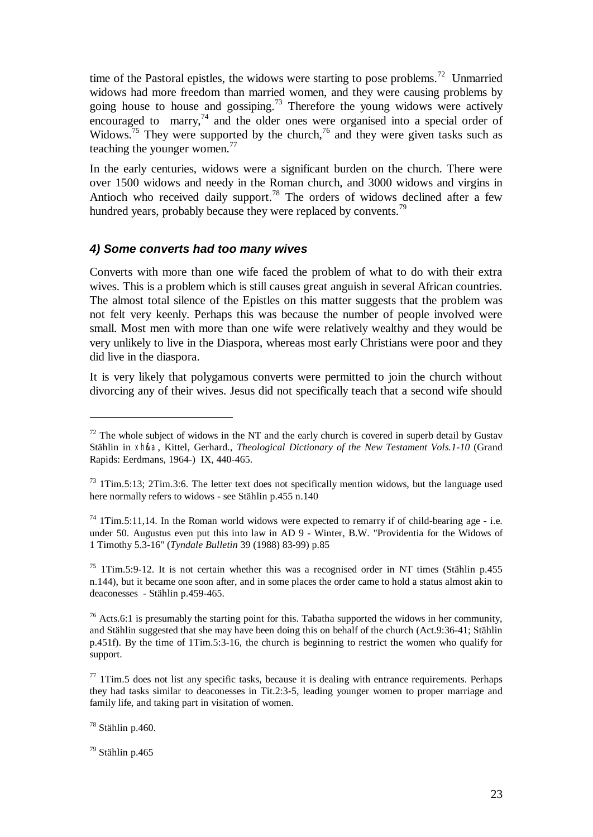time of the Pastoral epistles, the widows were starting to pose problems.<sup>72</sup> Unmarried widows had more freedom than married women, and they were causing problems by going house to house and gossiping.<sup>73</sup> Therefore the young widows were actively encouraged to marry,<sup>74</sup> and the older ones were organised into a special order of Widows.<sup>75</sup> They were supported by the church,<sup>76</sup> and they were given tasks such as teaching the younger women.<sup>77</sup>

In the early centuries, widows were a significant burden on the church. There were over 1500 widows and needy in the Roman church, and 3000 widows and virgins in Antioch who received daily support.<sup>78</sup> The orders of widows declined after a few hundred years, probably because they were replaced by convents.<sup>79</sup>

### *4) Some converts had too many wives*

Converts with more than one wife faced the problem of what to do with their extra wives. This is a problem which is still causes great anguish in several African countries. The almost total silence of the Epistles on this matter suggests that the problem was not felt very keenly. Perhaps this was because the number of people involved were small. Most men with more than one wife were relatively wealthy and they would be very unlikely to live in the Diaspora, whereas most early Christians were poor and they did live in the diaspora.

It is very likely that polygamous converts were permitted to join the church without divorcing any of their wives. Jesus did not specifically teach that a second wife should

 $^{74}$  1Tim.5:11,14. In the Roman world widows were expected to remarry if of child-bearing age - i.e. under 50. Augustus even put this into law in AD 9 - Winter, B.W. "Providentia for the Widows of 1 Timothy 5.3-16" (*Tyndale Bulletin* 39 (1988) 83-99) p.85

<sup>75</sup> 1Tim.5:9-12. It is not certain whether this was a recognised order in NT times (Stählin p.455 n.144), but it became one soon after, and in some places the order came to hold a status almost akin to deaconesses - Stählin p.459-465.

 $72$  The whole subject of widows in the NT and the early church is covered in superb detail by Gustav Stählin in xh<sup>k</sup>a, Kittel, Gerhard., *Theological Dictionary of the New Testament Vols.1-10* (Grand Rapids: Eerdmans, 1964-) IX, 440-465.

 $73$  1Tim.5:13; 2Tim.3:6. The letter text does not specifically mention widows, but the language used here normally refers to widows - see Stählin p.455 n.140

 $76$  Acts.6:1 is presumably the starting point for this. Tabatha supported the widows in her community, and Stählin suggested that she may have been doing this on behalf of the church (Act.9:36-41; Stählin p.451f). By the time of 1Tim.5:3-16, the church is beginning to restrict the women who qualify for support.

 $77$  1Tim.5 does not list any specific tasks, because it is dealing with entrance requirements. Perhaps they had tasks similar to deaconesses in Tit.2:3-5, leading younger women to proper marriage and family life, and taking part in visitation of women.

<sup>78</sup> Stählin p.460.

<sup>79</sup> Stählin p.465